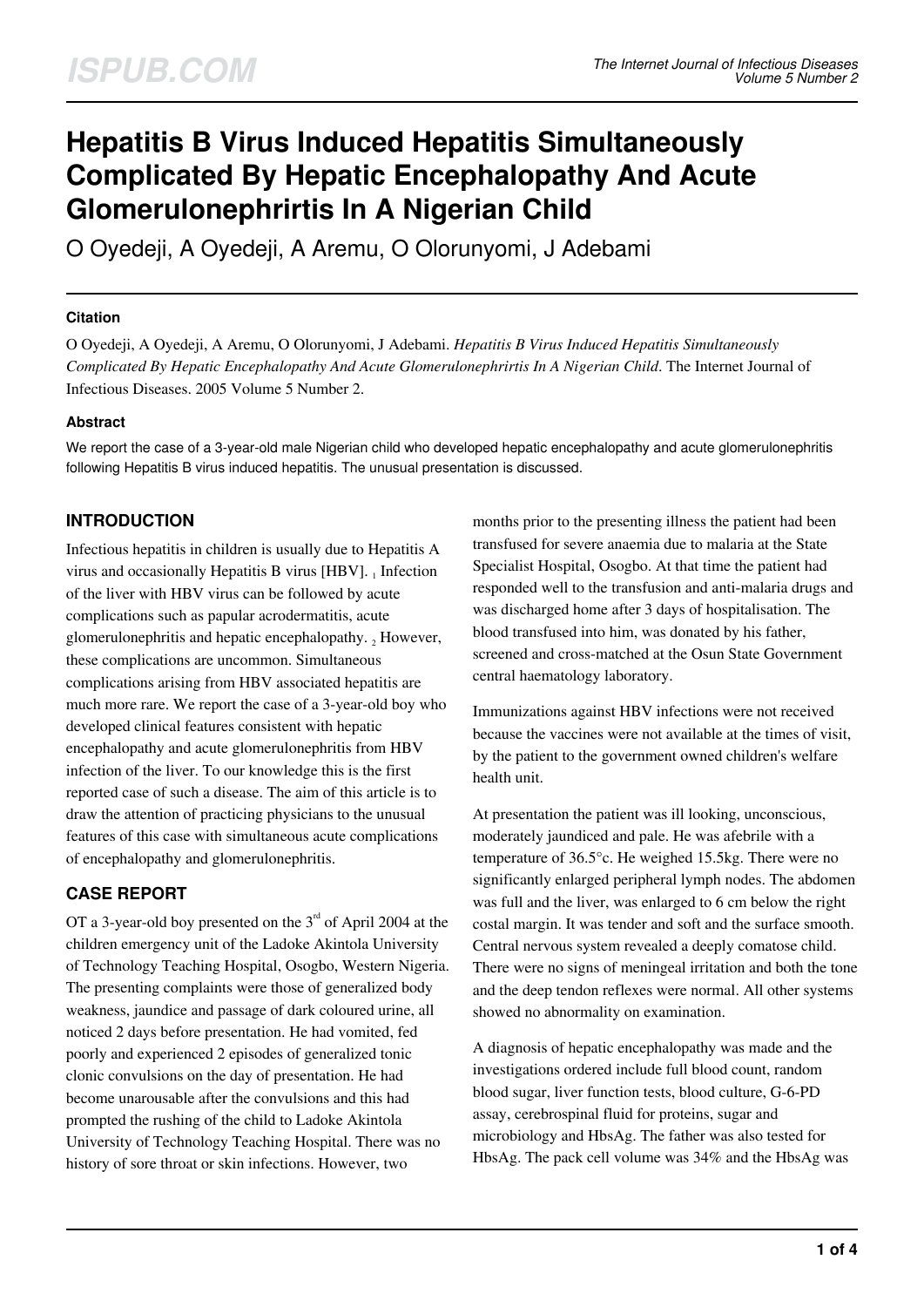# **Hepatitis B Virus Induced Hepatitis Simultaneously Complicated By Hepatic Encephalopathy And Acute Glomerulonephrirtis In A Nigerian Child**

O Oyedeji, A Oyedeji, A Aremu, O Olorunyomi, J Adebami

## **Citation**

O Oyedeji, A Oyedeji, A Aremu, O Olorunyomi, J Adebami. *Hepatitis B Virus Induced Hepatitis Simultaneously Complicated By Hepatic Encephalopathy And Acute Glomerulonephrirtis In A Nigerian Child*. The Internet Journal of Infectious Diseases. 2005 Volume 5 Number 2.

## **Abstract**

We report the case of a 3-year-old male Nigerian child who developed hepatic encephalopathy and acute glomerulonephritis following Hepatitis B virus induced hepatitis. The unusual presentation is discussed.

# **INTRODUCTION**

Infectious hepatitis in children is usually due to Hepatitis A virus and occasionally Hepatitis B virus [HBV].  $_1$  Infection of the liver with HBV virus can be followed by acute complications such as papular acrodermatitis, acute glomerulonephritis and hepatic encephalopathy.  $_2$  However, these complications are uncommon. Simultaneous complications arising from HBV associated hepatitis are much more rare. We report the case of a 3-year-old boy who developed clinical features consistent with hepatic encephalopathy and acute glomerulonephritis from HBV infection of the liver. To our knowledge this is the first reported case of such a disease. The aim of this article is to draw the attention of practicing physicians to the unusual features of this case with simultaneous acute complications of encephalopathy and glomerulonephritis.

# **CASE REPORT**

OT a 3-year-old boy presented on the  $3<sup>rd</sup>$  of April 2004 at the children emergency unit of the Ladoke Akintola University of Technology Teaching Hospital, Osogbo, Western Nigeria. The presenting complaints were those of generalized body weakness, jaundice and passage of dark coloured urine, all noticed 2 days before presentation. He had vomited, fed poorly and experienced 2 episodes of generalized tonic clonic convulsions on the day of presentation. He had become unarousable after the convulsions and this had prompted the rushing of the child to Ladoke Akintola University of Technology Teaching Hospital. There was no history of sore throat or skin infections. However, two

months prior to the presenting illness the patient had been transfused for severe anaemia due to malaria at the State Specialist Hospital, Osogbo. At that time the patient had responded well to the transfusion and anti-malaria drugs and was discharged home after 3 days of hospitalisation. The blood transfused into him, was donated by his father, screened and cross-matched at the Osun State Government central haematology laboratory.

Immunizations against HBV infections were not received because the vaccines were not available at the times of visit, by the patient to the government owned children's welfare health unit.

At presentation the patient was ill looking, unconscious, moderately jaundiced and pale. He was afebrile with a temperature of 36.5°c. He weighed 15.5kg. There were no significantly enlarged peripheral lymph nodes. The abdomen was full and the liver, was enlarged to 6 cm below the right costal margin. It was tender and soft and the surface smooth. Central nervous system revealed a deeply comatose child. There were no signs of meningeal irritation and both the tone and the deep tendon reflexes were normal. All other systems showed no abnormality on examination.

A diagnosis of hepatic encephalopathy was made and the investigations ordered include full blood count, random blood sugar, liver function tests, blood culture, G-6-PD assay, cerebrospinal fluid for proteins, sugar and microbiology and HbsAg. The father was also tested for HbsAg. The pack cell volume was 34% and the HbsAg was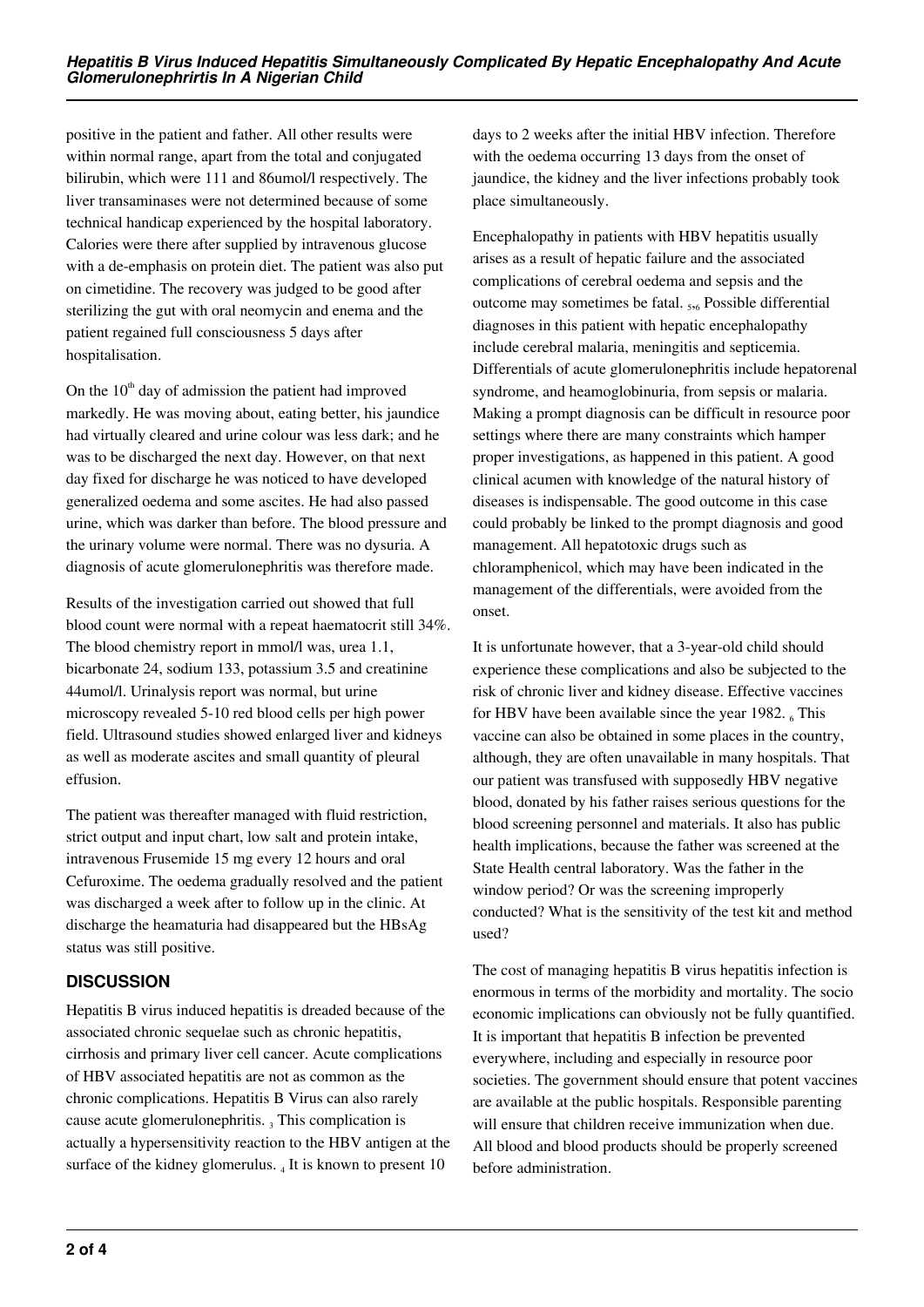positive in the patient and father. All other results were within normal range, apart from the total and conjugated bilirubin, which were 111 and 86umol/l respectively. The liver transaminases were not determined because of some technical handicap experienced by the hospital laboratory. Calories were there after supplied by intravenous glucose with a de-emphasis on protein diet. The patient was also put on cimetidine. The recovery was judged to be good after sterilizing the gut with oral neomycin and enema and the patient regained full consciousness 5 days after hospitalisation.

On the  $10<sup>th</sup>$  day of admission the patient had improved markedly. He was moving about, eating better, his jaundice had virtually cleared and urine colour was less dark; and he was to be discharged the next day. However, on that next day fixed for discharge he was noticed to have developed generalized oedema and some ascites. He had also passed urine, which was darker than before. The blood pressure and the urinary volume were normal. There was no dysuria. A diagnosis of acute glomerulonephritis was therefore made.

Results of the investigation carried out showed that full blood count were normal with a repeat haematocrit still 34%. The blood chemistry report in mmol/l was, urea 1.1, bicarbonate 24, sodium 133, potassium 3.5 and creatinine 44umol/l. Urinalysis report was normal, but urine microscopy revealed 5-10 red blood cells per high power field. Ultrasound studies showed enlarged liver and kidneys as well as moderate ascites and small quantity of pleural effusion.

The patient was thereafter managed with fluid restriction, strict output and input chart, low salt and protein intake, intravenous Frusemide 15 mg every 12 hours and oral Cefuroxime. The oedema gradually resolved and the patient was discharged a week after to follow up in the clinic. At discharge the heamaturia had disappeared but the HBsAg status was still positive.

# **DISCUSSION**

Hepatitis B virus induced hepatitis is dreaded because of the associated chronic sequelae such as chronic hepatitis, cirrhosis and primary liver cell cancer. Acute complications of HBV associated hepatitis are not as common as the chronic complications. Hepatitis B Virus can also rarely cause acute glomerulonephritis.  $_3$  This complication is actually a hypersensitivity reaction to the HBV antigen at the surface of the kidney glomerulus.  $_4$  It is known to present 10

days to 2 weeks after the initial HBV infection. Therefore with the oedema occurring 13 days from the onset of jaundice, the kidney and the liver infections probably took place simultaneously.

Encephalopathy in patients with HBV hepatitis usually arises as a result of hepatic failure and the associated complications of cerebral oedema and sepsis and the outcome may sometimes be fatal. <sub>5,6</sub> Possible differential diagnoses in this patient with hepatic encephalopathy include cerebral malaria, meningitis and septicemia. Differentials of acute glomerulonephritis include hepatorenal syndrome, and heamoglobinuria, from sepsis or malaria. Making a prompt diagnosis can be difficult in resource poor settings where there are many constraints which hamper proper investigations, as happened in this patient. A good clinical acumen with knowledge of the natural history of diseases is indispensable. The good outcome in this case could probably be linked to the prompt diagnosis and good management. All hepatotoxic drugs such as chloramphenicol, which may have been indicated in the management of the differentials, were avoided from the onset.

It is unfortunate however, that a 3-year-old child should experience these complications and also be subjected to the risk of chronic liver and kidney disease. Effective vaccines for HBV have been available since the year 1982. $_6$  This vaccine can also be obtained in some places in the country, although, they are often unavailable in many hospitals. That our patient was transfused with supposedly HBV negative blood, donated by his father raises serious questions for the blood screening personnel and materials. It also has public health implications, because the father was screened at the State Health central laboratory. Was the father in the window period? Or was the screening improperly conducted? What is the sensitivity of the test kit and method used?

The cost of managing hepatitis B virus hepatitis infection is enormous in terms of the morbidity and mortality. The socio economic implications can obviously not be fully quantified. It is important that hepatitis B infection be prevented everywhere, including and especially in resource poor societies. The government should ensure that potent vaccines are available at the public hospitals. Responsible parenting will ensure that children receive immunization when due. All blood and blood products should be properly screened before administration.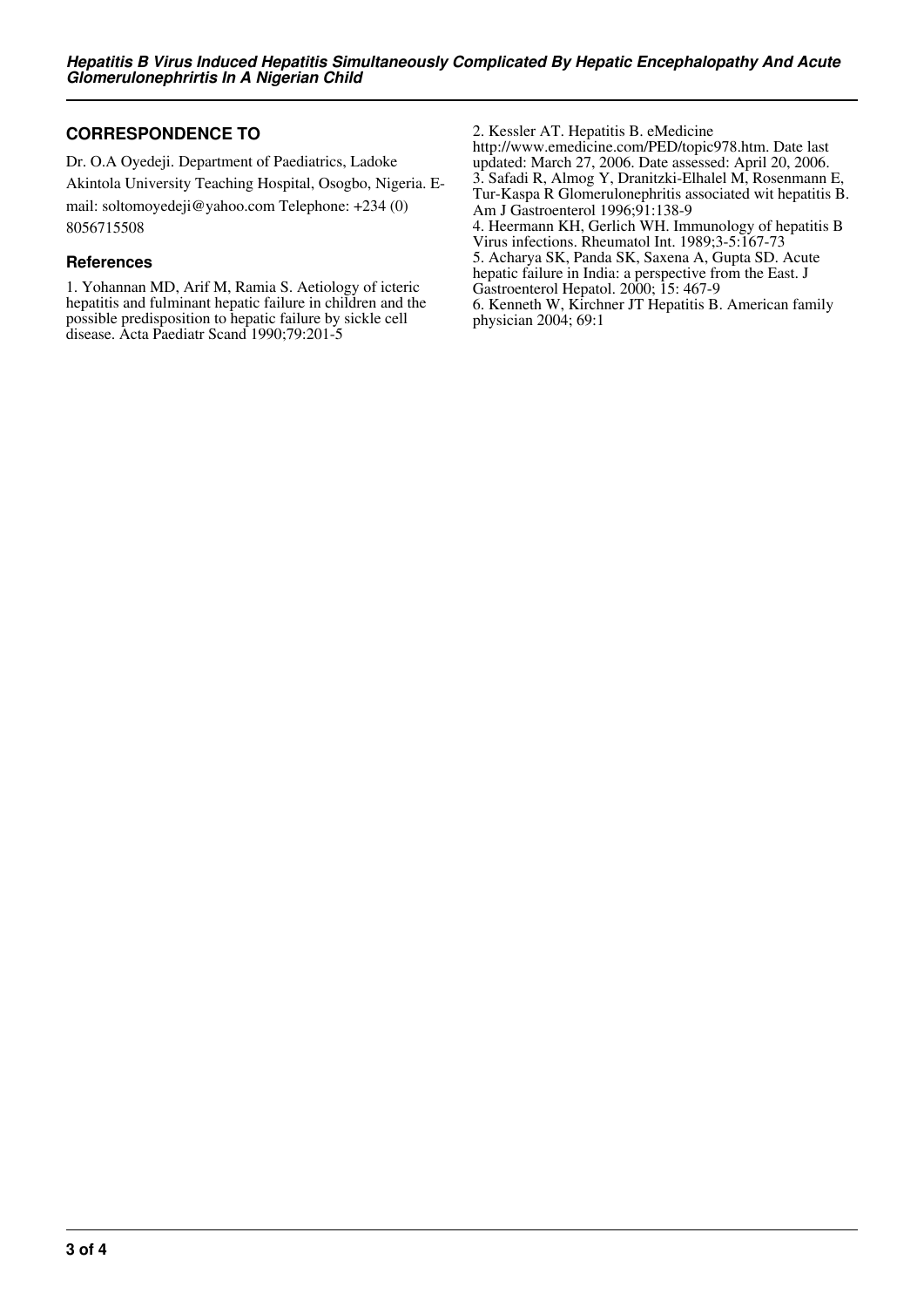## **CORRESPONDENCE TO**

Dr. O.A Oyedeji. Department of Paediatrics, Ladoke Akintola University Teaching Hospital, Osogbo, Nigeria. Email: soltomoyedeji@yahoo.com Telephone: +234 (0) 8056715508

#### **References**

1. Yohannan MD, Arif M, Ramia S. Aetiology of icteric hepatitis and fulminant hepatic failure in children and the possible predisposition to hepatic failure by sickle cell disease. Acta Paediatr Scand 1990;79:201-5

2. Kessler AT. Hepatitis B. eMedicine http://www.emedicine.com/PED/topic978.htm. Date last updated: March 27, 2006. Date assessed: April 20, 2006. 3. Safadi R, Almog Y, Dranitzki-Elhalel M, Rosenmann E, Tur-Kaspa R Glomerulonephritis associated wit hepatitis B. Am J Gastroenterol 1996;91:138-9 4. Heermann KH, Gerlich WH. Immunology of hepatitis B Virus infections. Rheumatol Int. 1989;3-5:167-73 5. Acharya SK, Panda SK, Saxena A, Gupta SD. Acute hepatic failure in India: a perspective from the East. J Gastroenterol Hepatol. 2000; 15: 467-9 6. Kenneth W, Kirchner JT Hepatitis B. American family physician 2004; 69:1